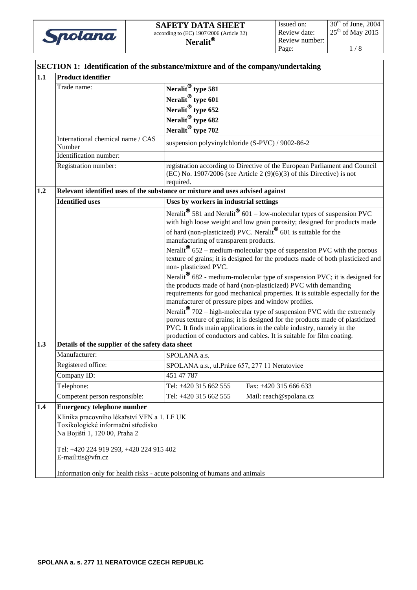

|     | <b>SECTION 1: Identification of the substance/mixture and of the company/undertaking</b>                           |                                                                                                                                                                            |  |  |  |
|-----|--------------------------------------------------------------------------------------------------------------------|----------------------------------------------------------------------------------------------------------------------------------------------------------------------------|--|--|--|
| 1.1 | <b>Product identifier</b>                                                                                          |                                                                                                                                                                            |  |  |  |
|     | Trade name:                                                                                                        | Neralit <sup>®</sup> type 581                                                                                                                                              |  |  |  |
|     |                                                                                                                    | Neralit <sup>®</sup> type 601                                                                                                                                              |  |  |  |
|     |                                                                                                                    | Neralit <sup>®</sup> type 652                                                                                                                                              |  |  |  |
|     |                                                                                                                    | Neralit <sup>®</sup> type 682                                                                                                                                              |  |  |  |
|     |                                                                                                                    | Neralit <sup>®</sup> type 702                                                                                                                                              |  |  |  |
|     | International chemical name / CAS<br>Number                                                                        | suspension polyvinylchloride (S-PVC) / 9002-86-2                                                                                                                           |  |  |  |
|     | Identification number:                                                                                             |                                                                                                                                                                            |  |  |  |
|     | Registration number:                                                                                               | registration according to Directive of the European Parliament and Council<br>$(EC)$ No. 1907/2006 (see Article 2 $(9)(6)(3)$ of this Directive) is not<br>required.       |  |  |  |
| 1.2 |                                                                                                                    | Relevant identified uses of the substance or mixture and uses advised against                                                                                              |  |  |  |
|     | <b>Identified uses</b>                                                                                             | Uses by workers in industrial settings                                                                                                                                     |  |  |  |
|     |                                                                                                                    | Neralit <sup>®</sup> 581 and Neralit <sup>®</sup> 601 – low-molecular types of suspension PVC<br>with high loose weight and low grain porosity; designed for products made |  |  |  |
|     |                                                                                                                    | of hard (non-plasticized) PVC. Neralit <sup>®</sup> 601 is suitable for the                                                                                                |  |  |  |
|     |                                                                                                                    | manufacturing of transparent products.                                                                                                                                     |  |  |  |
|     |                                                                                                                    | Neralit <sup>®</sup> 652 – medium-molecular type of suspension PVC with the porous                                                                                         |  |  |  |
|     |                                                                                                                    | texture of grains; it is designed for the products made of both plasticized and                                                                                            |  |  |  |
|     |                                                                                                                    | non-plasticized PVC.<br>Neralit <sup>®</sup> 682 - medium-molecular type of suspension PVC; it is designed for                                                             |  |  |  |
|     |                                                                                                                    | the products made of hard (non-plasticized) PVC with demanding                                                                                                             |  |  |  |
|     |                                                                                                                    | requirements for good mechanical properties. It is suitable especially for the                                                                                             |  |  |  |
|     |                                                                                                                    | manufacturer of pressure pipes and window profiles.                                                                                                                        |  |  |  |
|     |                                                                                                                    | Neralit <sup>®</sup> 702 – high-molecular type of suspension PVC with the extremely                                                                                        |  |  |  |
|     |                                                                                                                    | porous texture of grains; it is designed for the products made of plasticized                                                                                              |  |  |  |
|     |                                                                                                                    | PVC. It finds main applications in the cable industry, namely in the<br>production of conductors and cables. It is suitable for film coating.                              |  |  |  |
| 1.3 | Details of the supplier of the safety data sheet                                                                   |                                                                                                                                                                            |  |  |  |
|     | Manufacturer:                                                                                                      | SPOLANA a.s.                                                                                                                                                               |  |  |  |
|     | Registered office:                                                                                                 | SPOLANA a.s., ul. Práce 657, 277 11 Neratovice                                                                                                                             |  |  |  |
|     | Company ID:                                                                                                        | 451 47 787                                                                                                                                                                 |  |  |  |
|     | Telephone:                                                                                                         | Tel: +420 315 662 555<br>Fax: +420 315 666 633                                                                                                                             |  |  |  |
|     | Competent person responsible:                                                                                      | Tel: +420 315 662 555<br>Mail: reach@spolana.cz                                                                                                                            |  |  |  |
| 1.4 | <b>Emergency telephone number</b>                                                                                  |                                                                                                                                                                            |  |  |  |
|     | Klinika pracovního lékařství VFN a 1. LF UK<br>Toxikologické informační středisko<br>Na Bojišti 1, 120 00, Praha 2 |                                                                                                                                                                            |  |  |  |
|     | Tel: +420 224 919 293, +420 224 915 402<br>E-mail:tis@vfn.cz                                                       |                                                                                                                                                                            |  |  |  |
|     | Information only for health risks - acute poisoning of humans and animals                                          |                                                                                                                                                                            |  |  |  |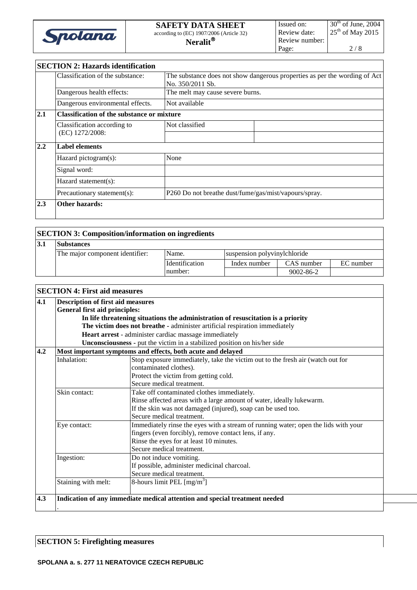

# **SECTION 2: Hazards identification**

|     | Classification of the substance:               | The substance does not show dangerous properties as per the wording of Act<br>No. 350/2011 Sb. |  |  |  |  |
|-----|------------------------------------------------|------------------------------------------------------------------------------------------------|--|--|--|--|
|     | Dangerous health effects:                      | The melt may cause severe burns.                                                               |  |  |  |  |
|     | Dangerous environmental effects.               | Not available                                                                                  |  |  |  |  |
| 2.1 |                                                | <b>Classification of the substance or mixture</b>                                              |  |  |  |  |
|     | Classification according to<br>(EC) 1272/2008: | Not classified                                                                                 |  |  |  |  |
|     |                                                |                                                                                                |  |  |  |  |
| 2.2 | <b>Label elements</b>                          |                                                                                                |  |  |  |  |
|     | Hazard pictogram(s):                           | None                                                                                           |  |  |  |  |
|     | Signal word:                                   |                                                                                                |  |  |  |  |
|     | Hazard statement(s):                           |                                                                                                |  |  |  |  |
|     | Precautionary statement(s):                    | P260 Do not breathe dust/fume/gas/mist/vapours/spray.                                          |  |  |  |  |
| 2.3 | <b>Other hazards:</b>                          |                                                                                                |  |  |  |  |
|     |                                                |                                                                                                |  |  |  |  |

# **SECTION 3: Composition/information on ingredients**

| 19.I | <b>Substances</b>               |                       |                              |                 |           |
|------|---------------------------------|-----------------------|------------------------------|-----------------|-----------|
|      | The major component identifier: | Name.                 | suspension polyvinylchloride |                 |           |
|      |                                 | <b>Identification</b> | Index number                 | CAS number      | EC number |
|      |                                 | number:               |                              | $9002 - 86 - 2$ |           |

| 4.1 | <b>Description of first aid measures</b>                                         |                                                                                    |  |  |  |  |
|-----|----------------------------------------------------------------------------------|------------------------------------------------------------------------------------|--|--|--|--|
|     | <b>General first aid principles:</b>                                             |                                                                                    |  |  |  |  |
|     | In life threatening situations the administration of resuscitation is a priority |                                                                                    |  |  |  |  |
|     |                                                                                  | The victim does not breathe - administer artificial respiration immediately        |  |  |  |  |
|     |                                                                                  | Heart arrest - administer cardiac massage immediately                              |  |  |  |  |
|     |                                                                                  | Unconsciousness - put the victim in a stabilized position on his/her side          |  |  |  |  |
| 4.2 |                                                                                  | Most important symptoms and effects, both acute and delayed                        |  |  |  |  |
|     | Inhalation:                                                                      | Stop exposure immediately, take the victim out to the fresh air (watch out for     |  |  |  |  |
|     |                                                                                  | contaminated clothes).                                                             |  |  |  |  |
|     |                                                                                  | Protect the victim from getting cold.                                              |  |  |  |  |
|     |                                                                                  | Secure medical treatment.                                                          |  |  |  |  |
|     | Skin contact:<br>Take off contaminated clothes immediately.                      |                                                                                    |  |  |  |  |
|     |                                                                                  | Rinse affected areas with a large amount of water, ideally lukewarm.               |  |  |  |  |
|     |                                                                                  | If the skin was not damaged (injured), soap can be used too.                       |  |  |  |  |
|     |                                                                                  | Secure medical treatment.                                                          |  |  |  |  |
|     | Eye contact:                                                                     | Immediately rinse the eyes with a stream of running water; open the lids with your |  |  |  |  |
|     |                                                                                  | fingers (even forcibly), remove contact lens, if any.                              |  |  |  |  |
|     |                                                                                  | Rinse the eyes for at least 10 minutes.                                            |  |  |  |  |
|     |                                                                                  | Secure medical treatment.                                                          |  |  |  |  |
|     | Ingestion:                                                                       | Do not induce vomiting.                                                            |  |  |  |  |
|     |                                                                                  | If possible, administer medicinal charcoal.                                        |  |  |  |  |
|     |                                                                                  | Secure medical treatment.                                                          |  |  |  |  |
|     | Staining with melt:                                                              | 8-hours limit PEL [mg/m <sup>3</sup> ]                                             |  |  |  |  |
|     |                                                                                  |                                                                                    |  |  |  |  |

### **SECTION 5: Firefighting measures**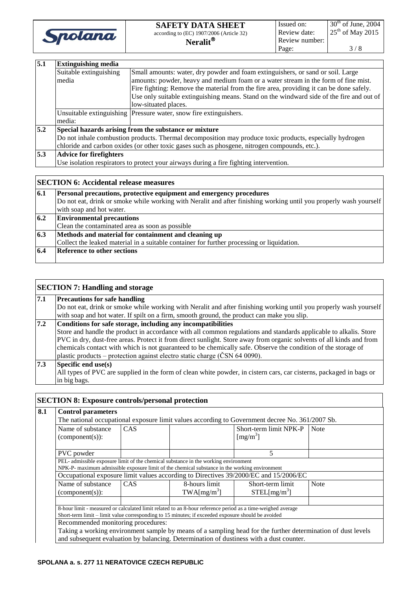

| 5.1 | <b>Extinguishing media</b>                                                                                |                                                                                          |  |  |  |
|-----|-----------------------------------------------------------------------------------------------------------|------------------------------------------------------------------------------------------|--|--|--|
|     | Suitable extinguishing<br>Small amounts: water, dry powder and foam extinguishers, or sand or soil. Large |                                                                                          |  |  |  |
|     | media                                                                                                     | amounts: powder, heavy and medium foam or a water stream in the form of fine mist.       |  |  |  |
|     |                                                                                                           | Fire fighting: Remove the material from the fire area, providing it can be done safely.  |  |  |  |
|     |                                                                                                           | Use only suitable extinguishing means. Stand on the windward side of the fire and out of |  |  |  |
|     |                                                                                                           | low-situated places.                                                                     |  |  |  |
|     |                                                                                                           | Unsuitable extinguishing Pressure water, snow fire extinguishers.                        |  |  |  |
|     | media:                                                                                                    |                                                                                          |  |  |  |
| 5.2 | Special hazards arising from the substance or mixture                                                     |                                                                                          |  |  |  |
|     | Do not inhale combustion products. Thermal decomposition may produce toxic products, especially hydrogen  |                                                                                          |  |  |  |
|     | chloride and carbon oxides (or other toxic gases such as phosgene, nitrogen compounds, etc.).             |                                                                                          |  |  |  |
| 5.3 | <b>Advice for firefighters</b>                                                                            |                                                                                          |  |  |  |
|     | Use isolation respirators to protect your airways during a fire fighting intervention.                    |                                                                                          |  |  |  |

|     | <b>SECTION 6: Accidental release measures</b>                                                                                                                                             |
|-----|-------------------------------------------------------------------------------------------------------------------------------------------------------------------------------------------|
| 6.1 | Personal precautions, protective equipment and emergency procedures<br>Do not eat, drink or smoke while working with Neralit and after finishing working until you properly wash yourself |
|     | with soap and hot water.                                                                                                                                                                  |
| 6.2 | <b>Environmental precautions</b>                                                                                                                                                          |
|     | Clean the contaminated area as soon as possible                                                                                                                                           |
| 6.3 | Methods and material for containment and cleaning up                                                                                                                                      |
|     | Collect the leaked material in a suitable container for further processing or liquidation.                                                                                                |
| 6.4 | <b>Reference to other sections</b>                                                                                                                                                        |
|     |                                                                                                                                                                                           |

|                  | <b>SECTION 7: Handling and storage</b>                                                                               |
|------------------|----------------------------------------------------------------------------------------------------------------------|
| 7.1              | <b>Precautions for safe handling</b>                                                                                 |
|                  | Do not eat, drink or smoke while working with Neralit and after finishing working until you properly wash yourself   |
|                  | with soap and hot water. If spilt on a firm, smooth ground, the product can make you slip.                           |
| 7.2              | Conditions for safe storage, including any incompatibilities                                                         |
|                  | Store and handle the product in accordance with all common regulations and standards applicable to alkalis. Store    |
|                  | PVC in dry, dust-free areas. Protect it from direct sunlight. Store away from organic solvents of all kinds and from |
|                  | chemicals contact with which is not guaranteed to be chemically safe. Observe the condition of the storage of        |
|                  | plastic products – protection against electro static charge (ČSN 64 0090).                                           |
| $\overline{7.3}$ | Specific end use(s)                                                                                                  |
|                  | All types of PVC are supplied in the form of clean white powder, in cistern cars, car cisterns, packaged in bags or  |
|                  | in big bags.                                                                                                         |

# **SECTION 8: Exposure controls/personal protection**

| 8.1                                                                                                                                        | <b>Control parameters</b>                                                                                                                                                                                         |     |  |                                                                                         |             |
|--------------------------------------------------------------------------------------------------------------------------------------------|-------------------------------------------------------------------------------------------------------------------------------------------------------------------------------------------------------------------|-----|--|-----------------------------------------------------------------------------------------|-------------|
|                                                                                                                                            | The national occupational exposure limit values according to Government decree No. 361/2007 Sb.                                                                                                                   |     |  |                                                                                         |             |
|                                                                                                                                            | Name of substance<br>$(component(s))$ :                                                                                                                                                                           | CAS |  | Short-term limit NPK-P<br>$\left[\text{mg/m}^3\right]$                                  | <b>Note</b> |
|                                                                                                                                            | PVC powder                                                                                                                                                                                                        |     |  | 5                                                                                       |             |
|                                                                                                                                            | PEL- admissible exposure limit of the chemical substance in the working environment<br>NPK-P- maximum admissible exposure limit of the chemical substance in the working environment                              |     |  |                                                                                         |             |
|                                                                                                                                            | Occupational exposure limit values according to Directives 39/2000/EC and 15/2006/EC                                                                                                                              |     |  |                                                                                         |             |
| 8-hours limit<br>Name of substance<br>CAS<br>Short-term limit<br>TWA[mg/m <sup>3</sup> ]<br>STEL[mg/m <sup>3</sup> ]<br>$(component(s))$ : |                                                                                                                                                                                                                   |     |  | <b>Note</b>                                                                             |             |
|                                                                                                                                            |                                                                                                                                                                                                                   |     |  |                                                                                         |             |
|                                                                                                                                            | 8-hour limit - measured or calculated limit related to an 8-hour reference period as a time-weighed average<br>Short-term limit – limit value corresponding to 15 minutes; if exceeded exposure should be avoided |     |  |                                                                                         |             |
|                                                                                                                                            | Recommended monitoring procedures:                                                                                                                                                                                |     |  |                                                                                         |             |
|                                                                                                                                            | Taking a working environment sample by means of a sampling head for the further determination of dust levels                                                                                                      |     |  |                                                                                         |             |
|                                                                                                                                            |                                                                                                                                                                                                                   |     |  | and subsequent evaluation by balancing. Determination of dustiness with a dust counter. |             |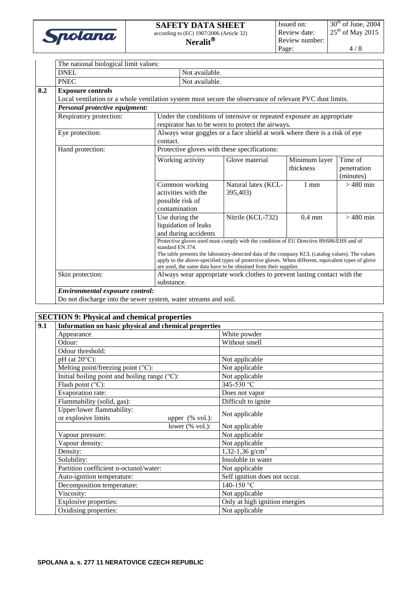

4 / 8

| The national biological limit values:                                                                                                                                                                                                                                     |                |                                                                                                             |                                                                           |                            |                        |
|---------------------------------------------------------------------------------------------------------------------------------------------------------------------------------------------------------------------------------------------------------------------------|----------------|-------------------------------------------------------------------------------------------------------------|---------------------------------------------------------------------------|----------------------------|------------------------|
| <b>DNEL</b>                                                                                                                                                                                                                                                               |                | Not available.                                                                                              |                                                                           |                            |                        |
| <b>PNEC</b>                                                                                                                                                                                                                                                               |                | Not available.                                                                                              |                                                                           |                            |                        |
| <b>Exposure controls</b>                                                                                                                                                                                                                                                  |                |                                                                                                             |                                                                           |                            |                        |
| Local ventilation or a whole ventilation system must secure the observance of relevant PVC dust limits.                                                                                                                                                                   |                |                                                                                                             |                                                                           |                            |                        |
| <b>Personal protective equipment:</b>                                                                                                                                                                                                                                     |                |                                                                                                             |                                                                           |                            |                        |
| Respiratory protection:                                                                                                                                                                                                                                                   |                |                                                                                                             | Under the conditions of intensive or repeated exposure an appropriate     |                            |                        |
|                                                                                                                                                                                                                                                                           |                |                                                                                                             | respirator has to be worn to protect the airways.                         |                            |                        |
| Eye protection:                                                                                                                                                                                                                                                           | contact.       |                                                                                                             | Always wear goggles or a face shield at work where there is a risk of eye |                            |                        |
| Hand protection:                                                                                                                                                                                                                                                          |                |                                                                                                             | Protective gloves with these specifications:                              |                            |                        |
| Common working<br>activities with the<br>possible risk of                                                                                                                                                                                                                 |                | Working activity                                                                                            | Glove material                                                            | Minimum layer<br>thickness | Time of<br>penetration |
|                                                                                                                                                                                                                                                                           |                |                                                                                                             |                                                                           |                            | (minutes)              |
|                                                                                                                                                                                                                                                                           |                |                                                                                                             | Natural latex (KCL-                                                       | $1 \text{ mm}$             | $>480$ min             |
|                                                                                                                                                                                                                                                                           |                |                                                                                                             | 395,403)                                                                  |                            |                        |
|                                                                                                                                                                                                                                                                           | contamination  |                                                                                                             |                                                                           |                            |                        |
|                                                                                                                                                                                                                                                                           | Use during the |                                                                                                             | Nitrile (KCL-732)                                                         | $0.4 \text{ mm}$           | $>480$ min             |
|                                                                                                                                                                                                                                                                           |                | liquidation of leaks                                                                                        |                                                                           |                            |                        |
|                                                                                                                                                                                                                                                                           |                | and during accidents                                                                                        |                                                                           |                            |                        |
|                                                                                                                                                                                                                                                                           |                | Protective gloves used must comply with the condition of EU Directive 89/686/EHS and of<br>standard EN 374. |                                                                           |                            |                        |
| The table presents the laboratory-detected data of the company KCL (catalog values). The values<br>apply to the above-specified types of protective gloves. When different, equivalent types of glove<br>are used, the same data have to be obtained from their supplier. |                |                                                                                                             |                                                                           |                            |                        |
| Skin protection:                                                                                                                                                                                                                                                          |                |                                                                                                             | Always wear appropriate work clothes to prevent lasting contact with the  |                            |                        |
|                                                                                                                                                                                                                                                                           | substance.     |                                                                                                             |                                                                           |                            |                        |
| Environmental exposure control:                                                                                                                                                                                                                                           |                |                                                                                                             |                                                                           |                            |                        |

Do not discharge into the sewer system, water streams and soil.

## **SECTION 9: Physical and chemical properties**

| 9.1 | Information on basic physical and chemical properties                                |                                |  |
|-----|--------------------------------------------------------------------------------------|--------------------------------|--|
|     | Appearance                                                                           | White powder                   |  |
|     | Odour:                                                                               | Without smell                  |  |
|     | Odour threshold:                                                                     |                                |  |
|     | $pH$ (at 20 $^{\circ}C$ ):                                                           | Not applicable                 |  |
|     | Melting point/freezing point $(^{\circ}C)$ :                                         | Not applicable                 |  |
|     | Initial boiling point and boiling range $(^{\circ}C)$ :                              | Not applicable                 |  |
|     | Flash point $(^{\circ}C)$ :                                                          | 345-530 °C                     |  |
|     | Evaporation rate:                                                                    | Does not vapor                 |  |
|     | Flammability (solid, gas):                                                           | Difficult to ignite            |  |
|     | Upper/lower flammability:<br>or explosive limits<br>upper $(% \mathcal{L}$ (% vol.): | Not applicable                 |  |
|     | lower $(% \mathcal{L}_{0}^{\infty})$ (% vol.):                                       | Not applicable                 |  |
|     | Vapour pressure:                                                                     | Not applicable                 |  |
|     | Vapour density:                                                                      | Not applicable                 |  |
|     | Density:                                                                             | 1,32-1,36 g/cm <sup>3</sup>    |  |
|     | Solubility:                                                                          | Insoluble in water             |  |
|     | Partition coefficient n-octanol/water:                                               | Not applicable                 |  |
|     | Auto-ignition temperature:                                                           | Self ignition does not occur.  |  |
|     | Decomposition temperature:                                                           | $140 - 150$ °C                 |  |
|     | Viscosity:                                                                           | Not applicable                 |  |
|     | Explosive properties:                                                                | Only at high ignition energies |  |
|     | Oxidising properties:                                                                | Not applicable                 |  |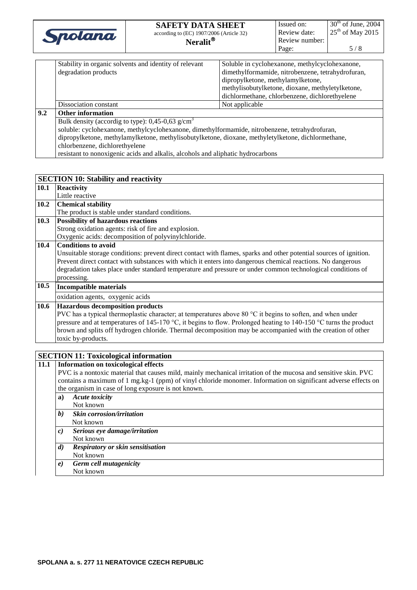| Spolana | <b>SAFETY DATA SHEET</b><br>according to (EC) 1907/2006 (Article 32)<br>Neralit $^\circledast$ | Issued on:<br>Review date:<br>Review number:<br>Page: | $30th$ of June, 2004<br>$25th$ of May 2015<br>5 / 8 |
|---------|------------------------------------------------------------------------------------------------|-------------------------------------------------------|-----------------------------------------------------|
|---------|------------------------------------------------------------------------------------------------|-------------------------------------------------------|-----------------------------------------------------|

|     | Stability in organic solvents and identity of relevant                                             | Soluble in cyclohexanone, methylcyclohexanone,    |  |  |
|-----|----------------------------------------------------------------------------------------------------|---------------------------------------------------|--|--|
|     | degradation products                                                                               | dimethylformamide, nitrobenzene, tetrahydrofuran, |  |  |
|     |                                                                                                    | dipropylketone, methylamylketone,                 |  |  |
|     |                                                                                                    | methylisobutylketone, dioxane, methyletylketone,  |  |  |
|     |                                                                                                    | dichlormethane, chlorbenzene, dichlorethyelene    |  |  |
|     | Dissociation constant                                                                              | Not applicable                                    |  |  |
| 9.2 | <b>Other information</b>                                                                           |                                                   |  |  |
|     | Bulk density (accordig to type): $0,45-0,63$ g/cm <sup>3</sup>                                     |                                                   |  |  |
|     | soluble: cyclohexanone, methylcyclohexanone, dimethylformamide, nitrobenzene, tetrahydrofuran,     |                                                   |  |  |
|     | dipropylketone, methylamylketone, methylisobutylketone, dioxane, methyletylketone, dichlormethane, |                                                   |  |  |
|     | chlorbenzene, dichlorethyelene                                                                     |                                                   |  |  |
|     | resistant to nonoxigenic acids and alkalis, alcohols and aliphatic hydrocarbons                    |                                                   |  |  |

|                                       | <b>SECTION 10: Stability and reactivity</b>                                                                        |
|---------------------------------------|--------------------------------------------------------------------------------------------------------------------|
| 10.1                                  | <b>Reactivity</b>                                                                                                  |
|                                       | Little reactive                                                                                                    |
| 10.2                                  | <b>Chemical stability</b>                                                                                          |
|                                       | The product is stable under standard conditions.                                                                   |
| 10.3                                  | <b>Possibility of hazardous reactions</b>                                                                          |
|                                       | Strong oxidation agents: risk of fire and explosion.                                                               |
|                                       | Oxygenic acids: decomposition of polyvinylchloride.                                                                |
| 10.4                                  | <b>Conditions to avoid</b>                                                                                         |
|                                       | Unsuitable storage conditions: prevent direct contact with flames, sparks and other potential sources of ignition. |
|                                       | Prevent direct contact with substances with which it enters into dangerous chemical reactions. No dangerous        |
|                                       | degradation takes place under standard temperature and pressure or under common technological conditions of        |
|                                       | processing.                                                                                                        |
| 10.5<br><b>Incompatible materials</b> |                                                                                                                    |
|                                       | oxidation agents, oxygenic acids                                                                                   |
| 10.6                                  | <b>Hazardous decomposition products</b>                                                                            |
|                                       | PVC has a typical thermoplastic character; at temperatures above 80 °C it begins to soften, and when under         |
|                                       | pressure and at temperatures of 145-170 °C, it begins to flow. Prolonged heating to 140-150 °C turns the product   |
|                                       | brown and splits off hydrogen chloride. Thermal decomposition may be accompanied with the creation of other        |
|                                       | toxic by-products.                                                                                                 |
|                                       |                                                                                                                    |

#### **SECTION 11: Toxicological information 11.1 Information on toxicological effects** PVC is a nontoxic material that causes mild, mainly mechanical irritation of the mucosa and sensitive skin. PVC contains a maximum of 1 mg.kg-1 (ppm) of vinyl chloride monomer. Information on significant adverse effects on the organism in case of long exposure is not known.

|                   | the organism in case of long exposure is not known. |  |
|-------------------|-----------------------------------------------------|--|
| a)                | <b>Acute toxicity</b>                               |  |
|                   | Not known                                           |  |
| $\boldsymbol{b}$  | <b>Skin corrosion/irritation</b>                    |  |
|                   | Not known                                           |  |
| $\mathfrak{c}$    | Serious eye damage/irritation                       |  |
|                   | Not known                                           |  |
| $\boldsymbol{d}$  | Respiratory or skin sensitisation                   |  |
|                   | Not known                                           |  |
| $\boldsymbol{e})$ | Germ cell mutagenicity                              |  |
|                   | Not known                                           |  |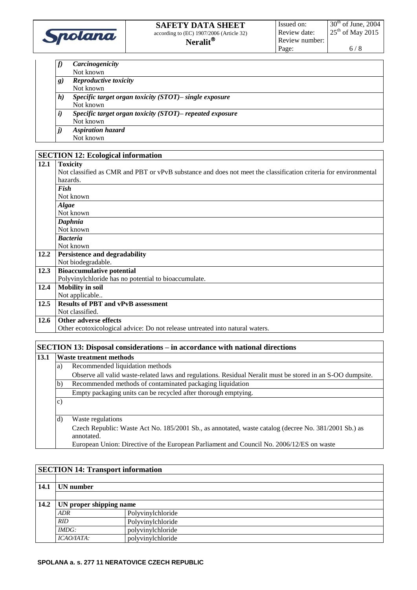

- *f) Carcinogenicity*
- Not known
- *g) Reproductive toxicity*
- Not known *h) Specific target organ toxicity (STOT)– single exposure* Not known *i) Specific target organ toxicity (STOT)– repeated exposure* Not known
- *j) Aspiration hazard* Not known

# **SECTION 12: Ecological information**

## **12.1 Toxicity**

| 12.I | <b>TOXICITY</b>                                                                                                 |
|------|-----------------------------------------------------------------------------------------------------------------|
|      | Not classified as CMR and PBT or vPvB substance and does not meet the classification criteria for environmental |
|      | hazards.                                                                                                        |
|      | <b>Fish</b>                                                                                                     |
|      | Not known                                                                                                       |
|      | <b>Algae</b>                                                                                                    |
|      | Not known                                                                                                       |
|      | Daphnia                                                                                                         |
|      | Not known                                                                                                       |
|      | <b>Bacteria</b>                                                                                                 |
|      | Not known                                                                                                       |
| 12.2 | Persistence and degradability                                                                                   |
|      | Not biodegradable.                                                                                              |
| 12.3 | <b>Bioaccumulative potential</b>                                                                                |
|      | Polyvinylchloride has no potential to bioaccumulate.                                                            |
| 12.4 | <b>Mobility</b> in soil                                                                                         |
|      | Not applicable                                                                                                  |
| 12.5 | <b>Results of PBT and vPvB assessment</b>                                                                       |
|      | Not classified.                                                                                                 |
| 12.6 | Other adverse effects                                                                                           |
|      | Other ecotoxicological advice: Do not release untreated into natural waters.                                    |

#### **SECTION 13: Disposal considerations – in accordance with national directions**

| 13.1                                                                                                       | Waste treatment methods                                                   |                                                                                                                    |  |  |
|------------------------------------------------------------------------------------------------------------|---------------------------------------------------------------------------|--------------------------------------------------------------------------------------------------------------------|--|--|
|                                                                                                            | Recommended liquidation methods<br>a)                                     |                                                                                                                    |  |  |
| Observe all valid waste-related laws and regulations. Residual Neralit must be stored in an S-OO dumpsite. |                                                                           |                                                                                                                    |  |  |
|                                                                                                            | Recommended methods of contaminated packaging liquidation<br>$\mathbf{b}$ |                                                                                                                    |  |  |
|                                                                                                            | Empty packaging units can be recycled after thorough emptying.            |                                                                                                                    |  |  |
|                                                                                                            | $\mathcal{C}$ )                                                           |                                                                                                                    |  |  |
| $\rm(d)$                                                                                                   |                                                                           | Waste regulations                                                                                                  |  |  |
|                                                                                                            |                                                                           | Czech Republic: Waste Act No. 185/2001 Sb., as annotated, waste catalog (decree No. 381/2001 Sb.) as<br>annotated. |  |  |
|                                                                                                            |                                                                           | European Union: Directive of the European Parliament and Council No. 2006/12/ES on waste                           |  |  |

| <b>SECTION 14: Transport information</b> |                         |                   |  |
|------------------------------------------|-------------------------|-------------------|--|
|                                          |                         |                   |  |
| 14.1                                     | UN number               |                   |  |
|                                          |                         |                   |  |
| 14.2                                     | UN proper shipping name |                   |  |
|                                          | ADR                     | Polyvinylchloride |  |
|                                          | RID                     | Polyvinylchloride |  |
|                                          | IMDG:                   | polyvinylchloride |  |
|                                          | ICAO/IATA:              | polyvinylchloride |  |

#### **SPOLANA a. s. 277 11 NERATOVICE CZECH REPUBLIC**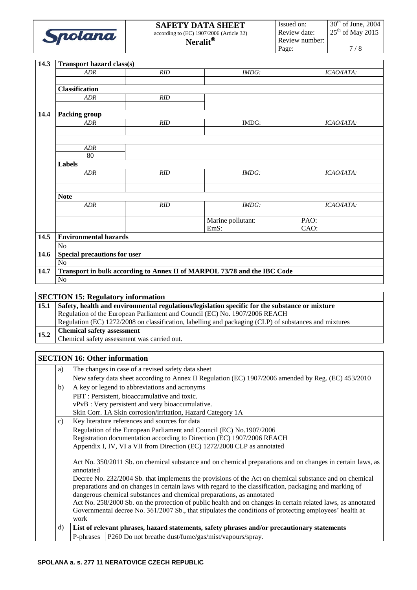| ano,<br>47 | according to |
|------------|--------------|

| $\overline{14.3}$ | <b>Transport hazard class(s)</b>    |     |                                                                          |            |
|-------------------|-------------------------------------|-----|--------------------------------------------------------------------------|------------|
|                   | ADR                                 | RID | IMDG:                                                                    | ICAO/IATA: |
|                   |                                     |     |                                                                          |            |
|                   | <b>Classification</b>               |     |                                                                          |            |
|                   | ADR                                 | RID |                                                                          |            |
|                   |                                     |     |                                                                          |            |
| 14.4              | <b>Packing group</b>                |     |                                                                          |            |
|                   | <b>ADR</b>                          | RID | IMDG:                                                                    | ICAO/IATA: |
|                   |                                     |     |                                                                          |            |
|                   |                                     |     |                                                                          |            |
|                   | ADR                                 |     |                                                                          |            |
|                   | 80                                  |     |                                                                          |            |
|                   | <b>Labels</b>                       |     |                                                                          |            |
|                   | ADR                                 | RID | <b>IMDG:</b>                                                             | ICAO/IATA: |
|                   |                                     |     |                                                                          |            |
|                   | <b>Note</b>                         |     |                                                                          |            |
|                   | <b>ADR</b>                          | RID | IMDG:                                                                    | ICAO/IATA: |
|                   |                                     |     | Marine pollutant:                                                        | PAO:       |
|                   |                                     |     | EmS:                                                                     | CAO:       |
| 14.5              | <b>Environmental hazards</b>        |     |                                                                          |            |
|                   | No                                  |     |                                                                          |            |
| 14.6              | <b>Special precautions for user</b> |     |                                                                          |            |
|                   | No                                  |     |                                                                          |            |
| 14.7              |                                     |     | Transport in bulk according to Annex II of MARPOL 73/78 and the IBC Code |            |
|                   | No                                  |     |                                                                          |            |

#### **SECTION 15: Regulatory information 15.1 Safety, health and environmental regulations/legislation specific for the substance or mixture** Regulation of the European Parliament and Council (EC) No. 1907/2006 REACH Regulation (EC) 1272/2008 on classification, labelling and packaging (CLP) of substances and mixtures **15.2 Chemical safety assessment** Chemical safety assessment was carried out.

#### **SECTION 16: Other information**

|                                                                                                              | a) |                                                                                                                         | The changes in case of a revised safety data sheet                                                      |  |
|--------------------------------------------------------------------------------------------------------------|----|-------------------------------------------------------------------------------------------------------------------------|---------------------------------------------------------------------------------------------------------|--|
|                                                                                                              |    |                                                                                                                         | New safety data sheet according to Annex II Regulation (EC) 1907/2006 amended by Reg. (EC) 453/2010     |  |
|                                                                                                              | b) |                                                                                                                         | A key or legend to abbreviations and acronyms                                                           |  |
|                                                                                                              |    |                                                                                                                         | PBT : Persistent, bioaccumulative and toxic.                                                            |  |
|                                                                                                              |    |                                                                                                                         | vPvB : Very persistent and very bioaccumulative.                                                        |  |
|                                                                                                              |    |                                                                                                                         | Skin Corr. 1A Skin corrosion/irritation, Hazard Category 1A                                             |  |
|                                                                                                              | c) |                                                                                                                         | Key literature references and sources for data                                                          |  |
|                                                                                                              |    |                                                                                                                         | Regulation of the European Parliament and Council (EC) No.1907/2006                                     |  |
|                                                                                                              |    |                                                                                                                         | Registration documentation according to Direction (EC) 1907/2006 REACH                                  |  |
|                                                                                                              |    |                                                                                                                         | Appendix I, IV, VI a VII from Direction (EC) 1272/2008 CLP as annotated                                 |  |
|                                                                                                              |    | Act No. 350/2011 Sb. on chemical substance and on chemical preparations and on changes in certain laws, as<br>annotated |                                                                                                         |  |
|                                                                                                              |    |                                                                                                                         | Decree No. 232/2004 Sb. that implements the provisions of the Act on chemical substance and on chemical |  |
|                                                                                                              |    |                                                                                                                         | preparations and on changes in certain laws with regard to the classification, packaging and marking of |  |
|                                                                                                              |    |                                                                                                                         | dangerous chemical substances and chemical preparations, as annotated                                   |  |
| Act No. 258/2000 Sb. on the protection of public health and on changes in certain related laws, as annotated |    |                                                                                                                         |                                                                                                         |  |
|                                                                                                              |    |                                                                                                                         | Governmental decree No. 361/2007 Sb., that stipulates the conditions of protecting employees' health at |  |
|                                                                                                              |    | work                                                                                                                    |                                                                                                         |  |
|                                                                                                              | d) | List of relevant phrases, hazard statements, safety phrases and/or precautionary statements                             |                                                                                                         |  |
|                                                                                                              |    | P-phrases                                                                                                               | P260 Do not breathe dust/fume/gas/mist/vapours/spray.                                                   |  |
|                                                                                                              |    |                                                                                                                         |                                                                                                         |  |